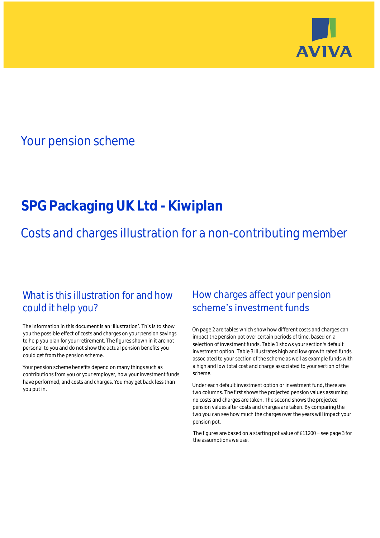

## Your pension scheme

# **SPG Packaging UK Ltd - Kiwiplan**

Costs and charges illustration for a non-contributing member

### What is this illustration for and how could it help you?

#### The information in this document is an 'illustration'. This is to show you the possible effect of costs and charges on your pension savings to help you plan for your retirement. The figures shown in it are not personal to you and do not show the actual pension benefits you could get from the pension scheme.

Your pension scheme benefits depend on many things such as contributions from you or your employer, how your investment funds have performed, and costs and charges. You may get back less than you put in.

### How charges affect your pension scheme's investment funds

On page 2 are tables which show how different costs and charges can impact the pension pot over certain periods of time, based on a selection of investment funds. Table 1 shows your section's default investment option. Table 3 illustrates high and low growth rated funds associated to your section of the scheme as well as example funds with a high and low total cost and charge associated to your section of the scheme.

Under each default investment option or investment fund, there are two columns. The first shows the projected pension values assuming no costs and charges are taken. The second shows the projected pension values after costs and charges are taken. By comparing the two you can see how much the charges over the years will impact your pension pot.

The figures are based on a starting pot value of  $£11200 -$  see page 3 for the assumptions we use.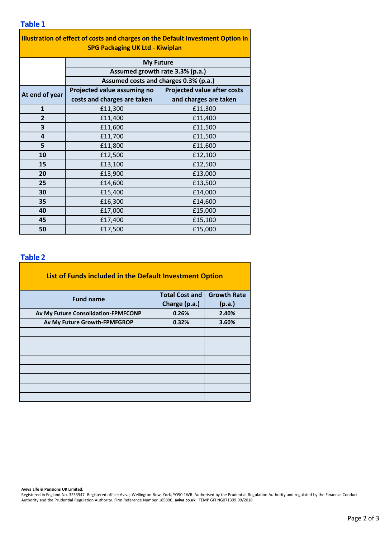| Illustration of effect of costs and charges on the Default Investment Option in<br><b>SPG Packaging UK Ltd - Kiwiplan</b> |                                       |                                    |  |  |  |  |  |
|---------------------------------------------------------------------------------------------------------------------------|---------------------------------------|------------------------------------|--|--|--|--|--|
|                                                                                                                           |                                       | <b>My Future</b>                   |  |  |  |  |  |
|                                                                                                                           | Assumed growth rate 3.3% (p.a.)       |                                    |  |  |  |  |  |
|                                                                                                                           | Assumed costs and charges 0.3% (p.a.) |                                    |  |  |  |  |  |
| At end of year                                                                                                            | Projected value assuming no           | <b>Projected value after costs</b> |  |  |  |  |  |
|                                                                                                                           | costs and charges are taken           | and charges are taken              |  |  |  |  |  |
| $\mathbf{1}$                                                                                                              | £11,300                               | £11,300                            |  |  |  |  |  |
| $\overline{2}$                                                                                                            | £11,400                               | £11,400                            |  |  |  |  |  |
| 3                                                                                                                         | £11,600                               | £11,500                            |  |  |  |  |  |
| $\overline{\mathbf{4}}$                                                                                                   | £11,700                               | £11,500                            |  |  |  |  |  |
| 5                                                                                                                         | £11,800                               | £11,600                            |  |  |  |  |  |
| 10                                                                                                                        | £12,500                               | £12,100                            |  |  |  |  |  |
| 15                                                                                                                        | £13,100                               | £12,500                            |  |  |  |  |  |
| 20                                                                                                                        | £13,900                               | £13,000                            |  |  |  |  |  |
| 25                                                                                                                        | £14,600                               | £13,500                            |  |  |  |  |  |
| 30                                                                                                                        | £15,400                               | £14,000                            |  |  |  |  |  |
| 35                                                                                                                        | £16,300                               | £14,600                            |  |  |  |  |  |
| 40                                                                                                                        | £17,000                               | £15,000                            |  |  |  |  |  |
| 45                                                                                                                        | £17,400                               | £15,100                            |  |  |  |  |  |
| 50                                                                                                                        | £17,500                               | £15,000                            |  |  |  |  |  |

#### **Table 2**

**Table 1**

| List of Funds included in the Default Investment Option |                       |                    |  |  |  |  |  |
|---------------------------------------------------------|-----------------------|--------------------|--|--|--|--|--|
| <b>Fund name</b>                                        | <b>Total Cost and</b> | <b>Growth Rate</b> |  |  |  |  |  |
|                                                         | Charge (p.a.)         | (p.a.)             |  |  |  |  |  |
| Av My Future Consolidation-FPMFCONP                     | 0.26%                 | 2.40%              |  |  |  |  |  |
| Av My Future Growth-FPMFGROP                            | 0.32%                 | 3.60%              |  |  |  |  |  |
|                                                         |                       |                    |  |  |  |  |  |
|                                                         |                       |                    |  |  |  |  |  |
|                                                         |                       |                    |  |  |  |  |  |
|                                                         |                       |                    |  |  |  |  |  |
|                                                         |                       |                    |  |  |  |  |  |
|                                                         |                       |                    |  |  |  |  |  |
|                                                         |                       |                    |  |  |  |  |  |
|                                                         |                       |                    |  |  |  |  |  |

**Aviva Life & Pensions UK Limited.**

Registered in England No. 3253947. Registered office: Aviva, Wellington Row, York, YO90 1WR. Authorised by the Prudential Regulation Authority and regulated by the Financial Conduct Authority and the Prudential Regulation Authority. Firm Reference Number 185896. **aviva.co.uk** TEMP GFI NG071309 09/2018

Page 2 of 3